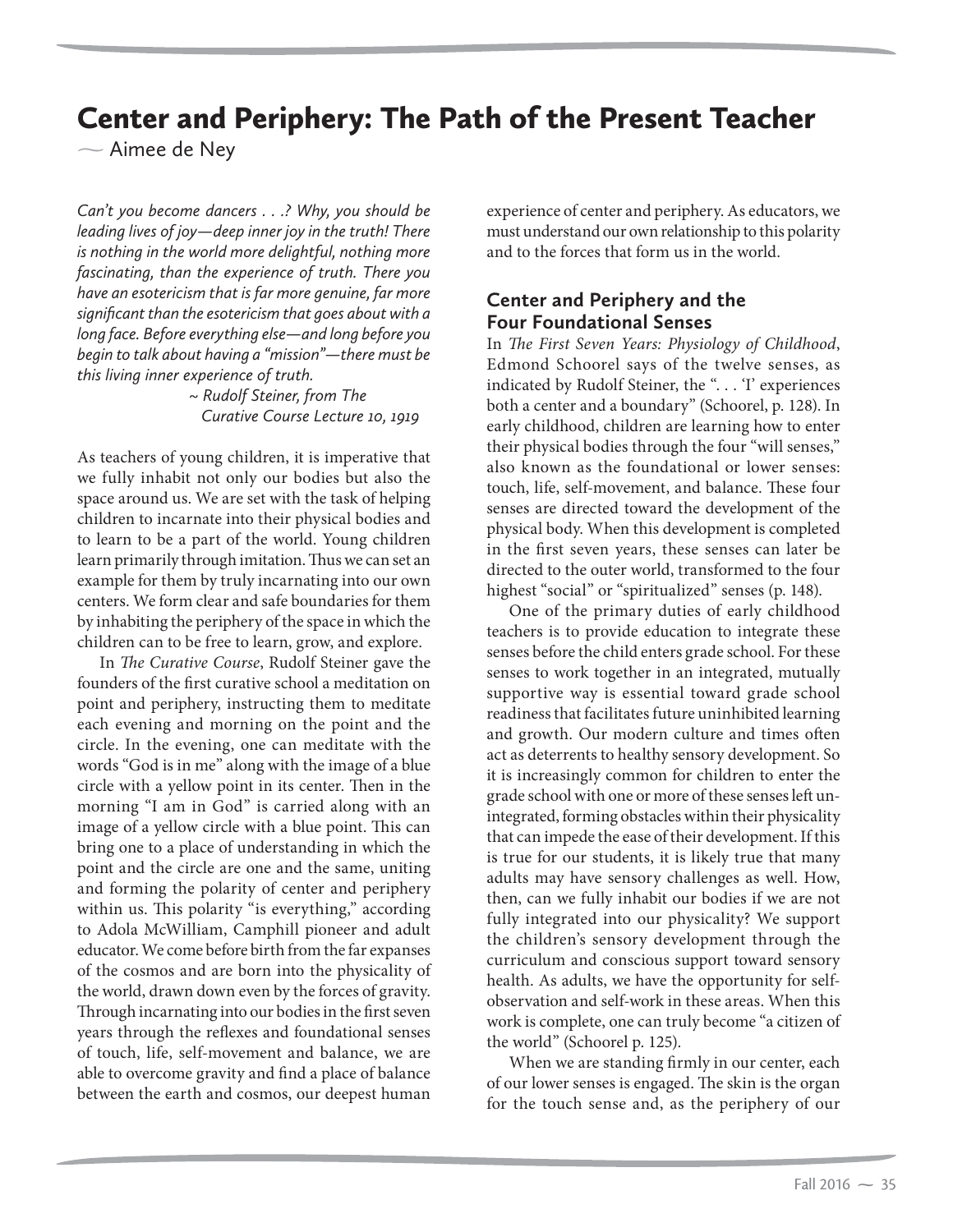# Center and Periphery: The Path of the Present Teacher

- Aimee de Ney

*Can't you become dancers . . .? Why, you should be leading lives of joy—deep inner joy in the truth! There is nothing in the world more delightful, nothing more fascinating, than the experience of truth. There you have an esotericism that is far more genuine, far more significant than the esotericism that goes about with a long face. Before everything else—and long before you begin to talk about having a "mission"—there must be this living inner experience of truth.* 

> *~ Rudolf Steiner, from The Curative Course Lecture 10, 1919*

As teachers of young children, it is imperative that we fully inhabit not only our bodies but also the space around us. We are set with the task of helping children to incarnate into their physical bodies and to learn to be a part of the world. Young children learn primarily through imitation. Thus we can set an example for them by truly incarnating into our own centers. We form clear and safe boundaries for them by inhabiting the periphery of the space in which the children can to be free to learn, grow, and explore.

In *The Curative Course*, Rudolf Steiner gave the founders of the first curative school a meditation on point and periphery, instructing them to meditate each evening and morning on the point and the circle. In the evening, one can meditate with the words "God is in me" along with the image of a blue circle with a yellow point in its center. Then in the morning "I am in God" is carried along with an image of a yellow circle with a blue point. This can bring one to a place of understanding in which the point and the circle are one and the same, uniting and forming the polarity of center and periphery within us. This polarity "is everything," according to Adola McWilliam, Camphill pioneer and adult educator. We come before birth from the far expanses of the cosmos and are born into the physicality of the world, drawn down even by the forces of gravity. Through incarnating into our bodies in the first seven years through the reflexes and foundational senses of touch, life, self-movement and balance, we are able to overcome gravity and find a place of balance between the earth and cosmos, our deepest human

experience of center and periphery. As educators, we must understand our own relationship to this polarity and to the forces that form us in the world.

### **Center and Periphery and the Four Foundational Senses**

In *The First Seven Years: Physiology of Childhood*, Edmond Schoorel says of the twelve senses, as indicated by Rudolf Steiner, the ". . . 'I' experiences both a center and a boundary" (Schoorel, p. 128). In early childhood, children are learning how to enter their physical bodies through the four "will senses," also known as the foundational or lower senses: touch, life, self-movement, and balance. These four senses are directed toward the development of the physical body. When this development is completed in the first seven years, these senses can later be directed to the outer world, transformed to the four highest "social" or "spiritualized" senses (p. 148).

One of the primary duties of early childhood teachers is to provide education to integrate these senses before the child enters grade school. For these senses to work together in an integrated, mutually supportive way is essential toward grade school readiness that facilitates future uninhibited learning and growth. Our modern culture and times often act as deterrents to healthy sensory development. So it is increasingly common for children to enter the grade school with one or more of these senses left unintegrated, forming obstacles within their physicality that can impede the ease of their development. If this is true for our students, it is likely true that many adults may have sensory challenges as well. How, then, can we fully inhabit our bodies if we are not fully integrated into our physicality? We support the children's sensory development through the curriculum and conscious support toward sensory health. As adults, we have the opportunity for selfobservation and self-work in these areas. When this work is complete, one can truly become "a citizen of the world" (Schoorel p. 125).

When we are standing firmly in our center, each of our lower senses is engaged. The skin is the organ for the touch sense and, as the periphery of our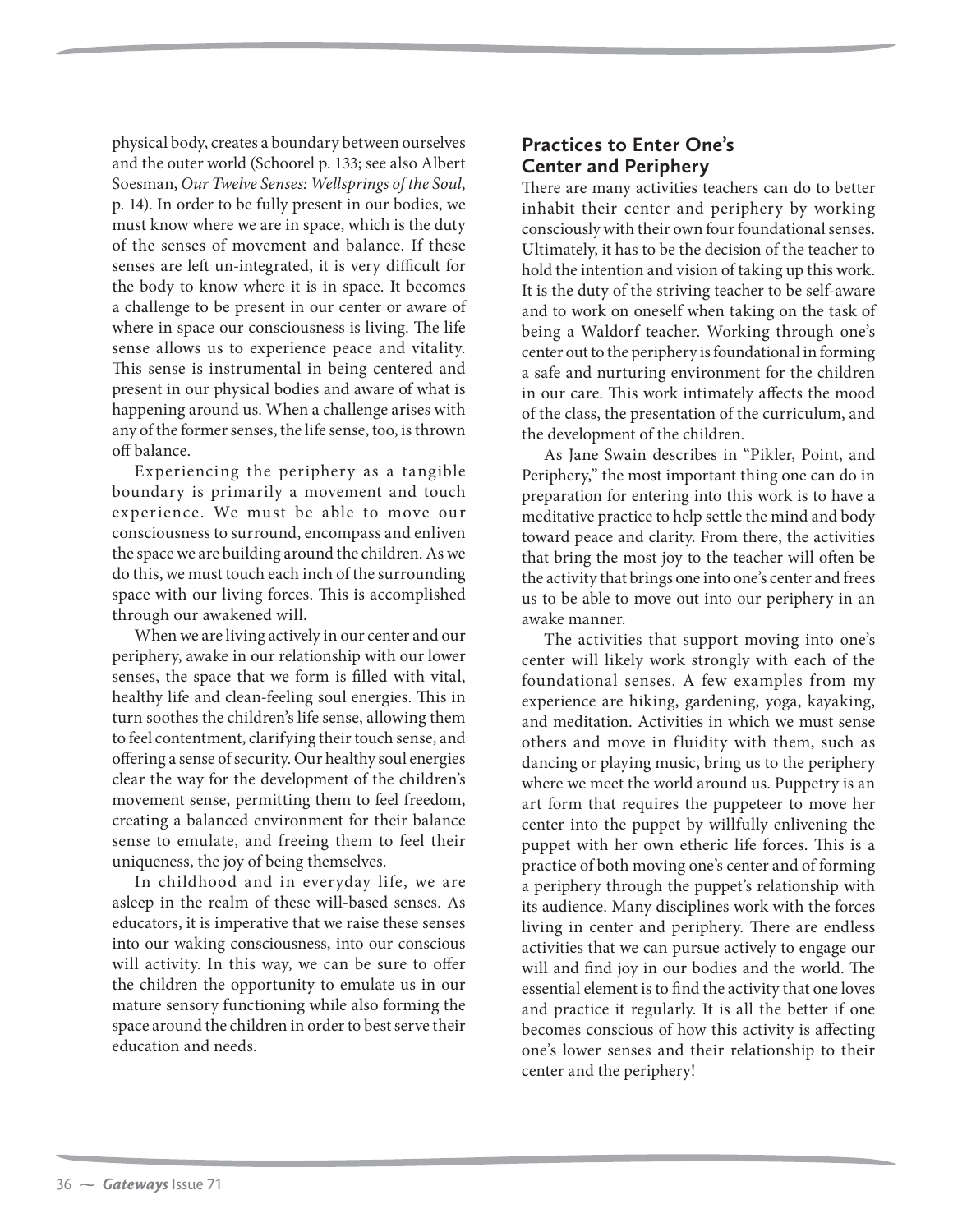physical body, creates a boundary between ourselves and the outer world (Schoorel p. 133; see also Albert Soesman, *Our Twelve Senses: Wellsprings of the Soul*, p. 14). In order to be fully present in our bodies, we must know where we are in space, which is the duty of the senses of movement and balance. If these senses are left un-integrated, it is very difficult for the body to know where it is in space. It becomes a challenge to be present in our center or aware of where in space our consciousness is living. The life sense allows us to experience peace and vitality. This sense is instrumental in being centered and present in our physical bodies and aware of what is happening around us. When a challenge arises with any of the former senses, the life sense, too, is thrown off balance.

Experiencing the periphery as a tangible boundary is primarily a movement and touch experience. We must be able to move our consciousness to surround, encompass and enliven the space we are building around the children. As we do this, we must touch each inch of the surrounding space with our living forces. This is accomplished through our awakened will.

When we are living actively in our center and our periphery, awake in our relationship with our lower senses, the space that we form is filled with vital, healthy life and clean-feeling soul energies. This in turn soothes the children's life sense, allowing them to feel contentment, clarifying their touch sense, and offering a sense of security. Our healthy soul energies clear the way for the development of the children's movement sense, permitting them to feel freedom, creating a balanced environment for their balance sense to emulate, and freeing them to feel their uniqueness, the joy of being themselves.

In childhood and in everyday life, we are asleep in the realm of these will-based senses. As educators, it is imperative that we raise these senses into our waking consciousness, into our conscious will activity. In this way, we can be sure to offer the children the opportunity to emulate us in our mature sensory functioning while also forming the space around the children in order to best serve their education and needs.

## **Practices to Enter One's Center and Periphery**

There are many activities teachers can do to better inhabit their center and periphery by working consciously with their own four foundational senses. Ultimately, it has to be the decision of the teacher to hold the intention and vision of taking up this work. It is the duty of the striving teacher to be self-aware and to work on oneself when taking on the task of being a Waldorf teacher. Working through one's center out to the periphery is foundational in forming a safe and nurturing environment for the children in our care. This work intimately affects the mood of the class, the presentation of the curriculum, and the development of the children.

As Jane Swain describes in "Pikler, Point, and Periphery," the most important thing one can do in preparation for entering into this work is to have a meditative practice to help settle the mind and body toward peace and clarity. From there, the activities that bring the most joy to the teacher will often be the activity that brings one into one's center and frees us to be able to move out into our periphery in an awake manner.

The activities that support moving into one's center will likely work strongly with each of the foundational senses. A few examples from my experience are hiking, gardening, yoga, kayaking, and meditation. Activities in which we must sense others and move in fluidity with them, such as dancing or playing music, bring us to the periphery where we meet the world around us. Puppetry is an art form that requires the puppeteer to move her center into the puppet by willfully enlivening the puppet with her own etheric life forces. This is a practice of both moving one's center and of forming a periphery through the puppet's relationship with its audience. Many disciplines work with the forces living in center and periphery. There are endless activities that we can pursue actively to engage our will and find joy in our bodies and the world. The essential element is to find the activity that one loves and practice it regularly. It is all the better if one becomes conscious of how this activity is affecting one's lower senses and their relationship to their center and the periphery!